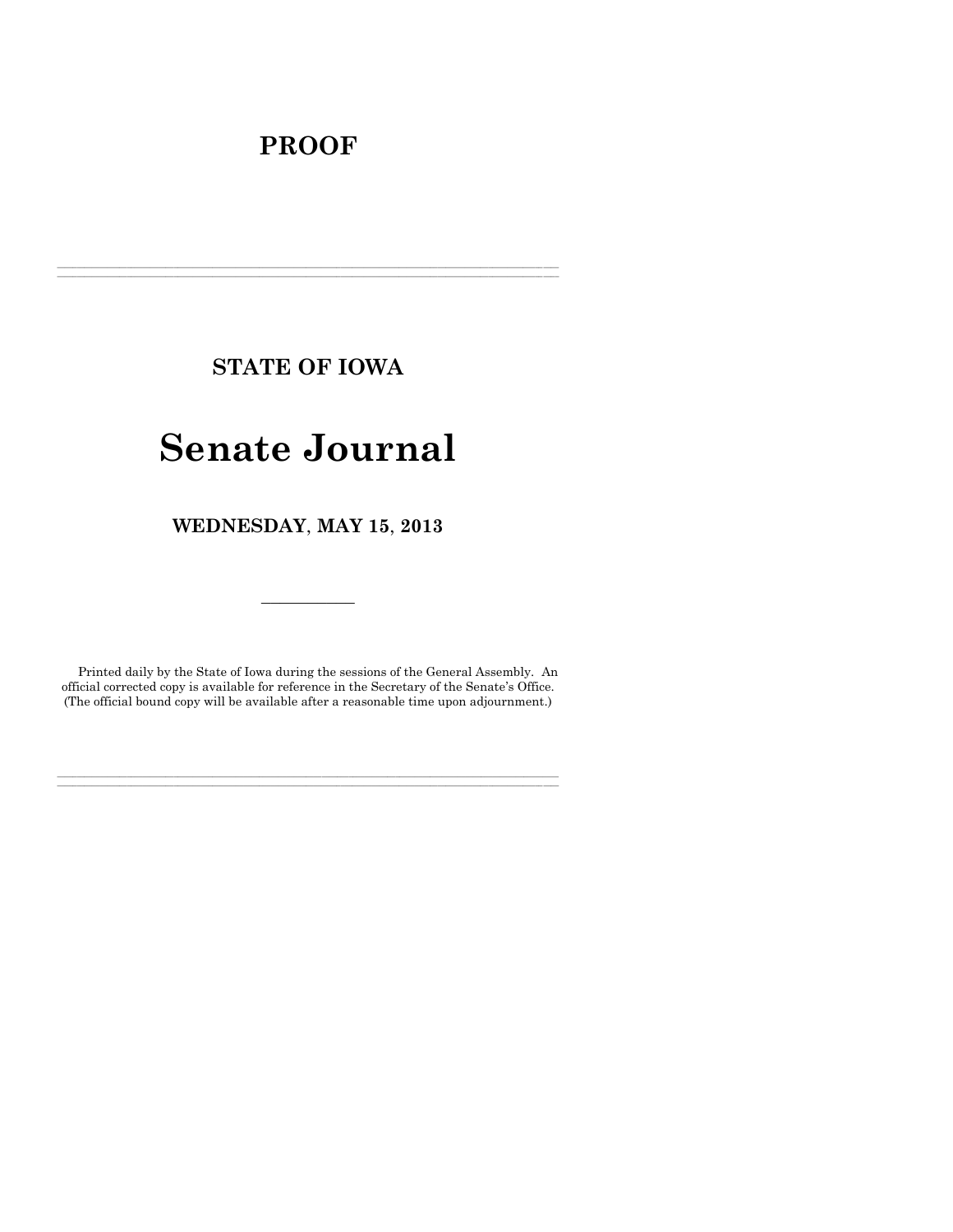# **PROOF**

**STATE OF IOWA**

**\_\_\_\_\_\_\_\_\_\_\_\_\_\_\_\_\_\_\_\_\_\_\_\_\_\_\_\_\_\_\_\_\_\_\_\_\_\_\_\_\_\_\_\_\_\_\_\_\_\_\_\_\_\_\_\_\_\_\_\_\_\_\_\_\_\_\_\_\_\_\_\_\_\_\_\_\_\_\_\_\_\_\_\_\_\_\_\_\_\_\_\_\_\_\_\_\_\_\_\_\_\_\_\_\_\_\_\_\_\_\_\_\_\_\_\_\_\_\_\_\_\_\_\_\_\_\_\_\_ \_\_\_\_\_\_\_\_\_\_\_\_\_\_\_\_\_\_\_\_\_\_\_\_\_\_\_\_\_\_\_\_\_\_\_\_\_\_\_\_\_\_\_\_\_\_\_\_\_\_\_\_\_\_\_\_\_\_\_\_\_\_\_\_\_\_\_\_\_\_\_\_\_\_\_\_\_\_\_\_\_\_\_\_\_\_\_\_\_\_\_\_\_\_\_\_\_\_\_\_\_\_\_\_\_\_\_\_\_\_\_\_\_\_\_\_\_\_\_\_\_\_\_\_\_\_\_\_\_**

# **Senate Journal**

**WEDNESDAY**, **MAY 15**, **2013**

Printed daily by the State of Iowa during the sessions of the General Assembly. An official corrected copy is available for reference in the Secretary of the Senate's Office. (The official bound copy will be available after a reasonable time upon adjournment.)

**\_\_\_\_\_\_\_\_\_\_\_\_\_\_\_\_\_\_\_\_\_\_\_\_\_\_\_\_\_\_\_\_\_\_\_\_\_\_\_\_\_\_\_\_\_\_\_\_\_\_\_\_\_\_\_\_\_\_\_\_\_\_\_\_\_\_\_\_\_\_\_\_\_\_\_\_\_\_\_\_\_\_\_\_\_\_\_\_\_\_\_\_\_\_\_\_\_\_\_\_\_\_\_\_\_\_\_\_\_\_\_\_\_\_\_\_\_\_\_\_\_\_\_\_\_\_\_\_\_ \_\_\_\_\_\_\_\_\_\_\_\_\_\_\_\_\_\_\_\_\_\_\_\_\_\_\_\_\_\_\_\_\_\_\_\_\_\_\_\_\_\_\_\_\_\_\_\_\_\_\_\_\_\_\_\_\_\_\_\_\_\_\_\_\_\_\_\_\_\_\_\_\_\_\_\_\_\_\_\_\_\_\_\_\_\_\_\_\_\_\_\_\_\_\_\_\_\_\_\_\_\_\_\_\_\_\_\_\_\_\_\_\_\_\_\_\_\_\_\_\_\_\_\_\_\_\_\_\_**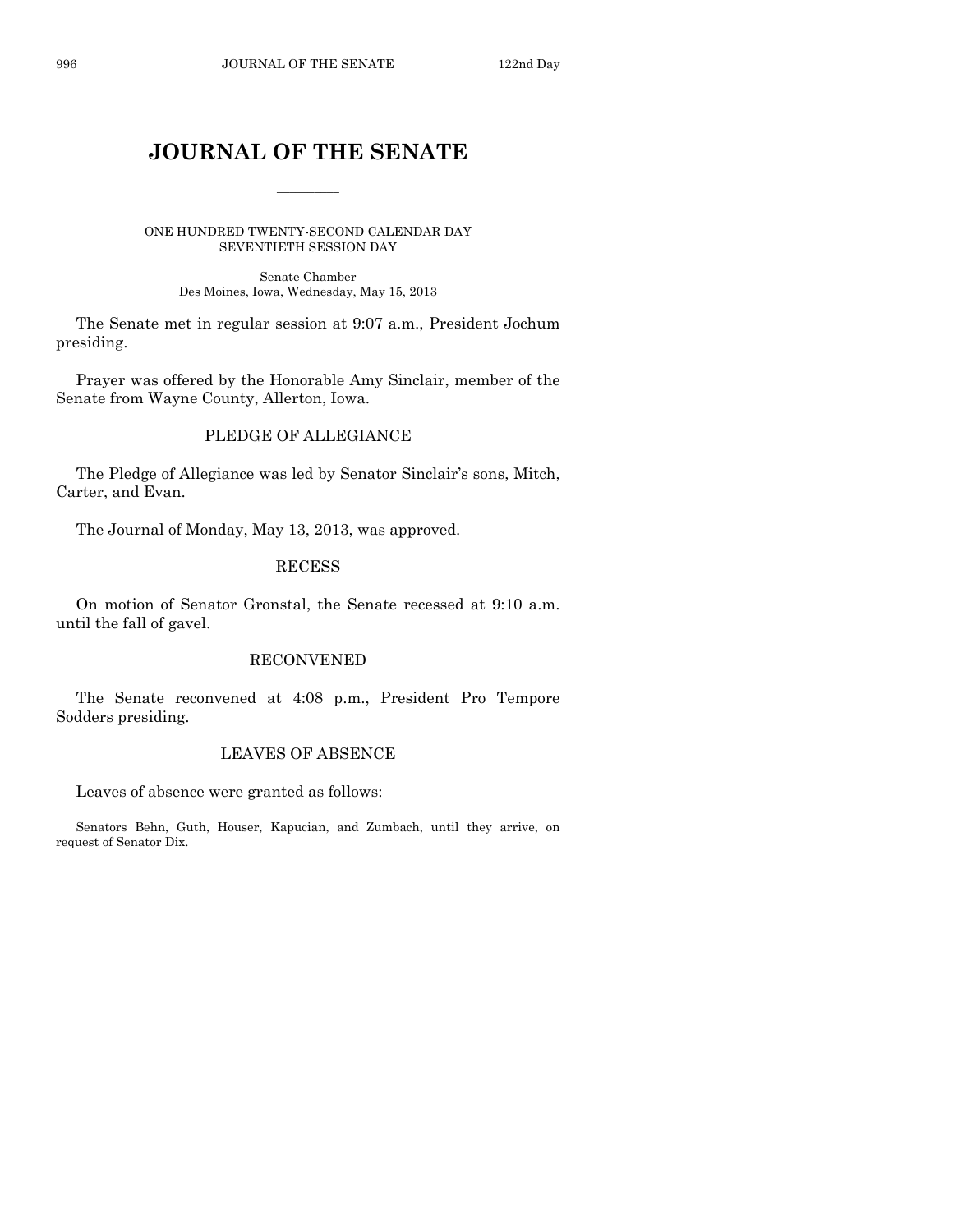# **JOURNAL OF THE SENATE**

 $\frac{1}{2}$ 

ONE HUNDRED TWENTY-SECOND CALENDAR DAY SEVENTIETH SESSION DAY

> Senate Chamber Des Moines, Iowa, Wednesday, May 15, 2013

The Senate met in regular session at 9:07 a.m., President Jochum presiding.

Prayer was offered by the Honorable Amy Sinclair, member of the Senate from Wayne County, Allerton, Iowa.

#### PLEDGE OF ALLEGIANCE

The Pledge of Allegiance was led by Senator Sinclair's sons, Mitch, Carter, and Evan.

The Journal of Monday, May 13, 2013, was approved.

#### RECESS

On motion of Senator Gronstal, the Senate recessed at 9:10 a.m. until the fall of gavel.

#### RECONVENED

The Senate reconvened at 4:08 p.m., President Pro Tempore Sodders presiding.

#### LEAVES OF ABSENCE

Leaves of absence were granted as follows:

Senators Behn, Guth, Houser, Kapucian, and Zumbach, until they arrive, on request of Senator Dix.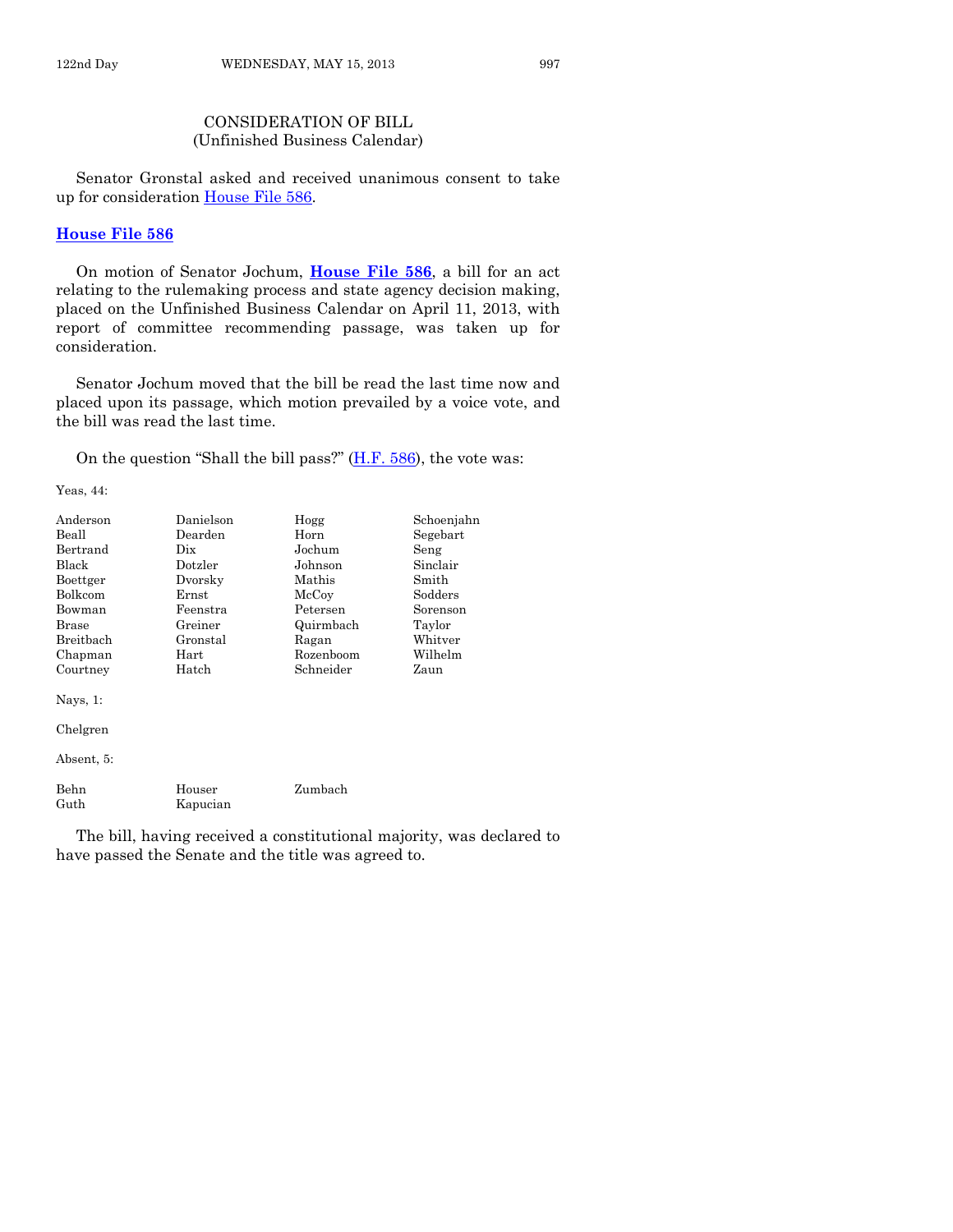#### CONSIDERATION OF BILL (Unfinished Business Calendar)

Senator Gronstal asked and received unanimous consent to take up for consideration [House File 586.](http://coolice.legis.state.ia.us/Cool-ICE/default.asp?Category=billinfo&Service=Billbook&frame=1&GA=85&hbill=HF586)

#### **[House File 586](http://coolice.legis.state.ia.us/Cool-ICE/default.asp?Category=billinfo&Service=Billbook&frame=1&GA=85&hbill=HF586)**

On motion of Senator Jochum, **[House File 586](http://coolice.legis.state.ia.us/Cool-ICE/default.asp?Category=billinfo&Service=Billbook&frame=1&GA=85&hbill=HF586)**, a bill for an act relating to the rulemaking process and state agency decision making, placed on the Unfinished Business Calendar on April 11, 2013, with report of committee recommending passage, was taken up for consideration.

Senator Jochum moved that the bill be read the last time now and placed upon its passage, which motion prevailed by a voice vote, and the bill was read the last time.

On the question "Shall the bill pass?" [\(H.F. 586\)](http://coolice.legis.state.ia.us/Cool-ICE/default.asp?Category=billinfo&Service=Billbook&frame=1&GA=85&hbill=HF586), the vote was:

Yeas, 44:

| Anderson     | Danielson          | Hogg      | Schoenjahn |
|--------------|--------------------|-----------|------------|
| Beall        | Dearden            | Horn      | Segebart   |
| Bertrand     | Dix                | Jochum    | Seng       |
| Black        | Dotzler            | Johnson   | Sinclair   |
| Boettger     | Dvorsky            | Mathis    | Smith      |
| Bolkcom      | $\rm Ernst$        | McCoy     | Sodders    |
| Bowman       | Feenstra           | Petersen  | Sorenson   |
| Brase        | Greiner            | Quirmbach | Taylor     |
| Breitbach    | Gronstal           | Ragan     | Whitver    |
| Chapman      | $\rm Hart$         | Rozenboom | Wilhelm    |
| Courtney     | Hatch              | Schneider | Zaun       |
| Nays, $1$ :  |                    |           |            |
| Chelgren     |                    |           |            |
| Absent, 5:   |                    |           |            |
| Behn<br>Guth | Houser<br>Kapucian | Zumbach   |            |

The bill, having received a constitutional majority, was declared to have passed the Senate and the title was agreed to.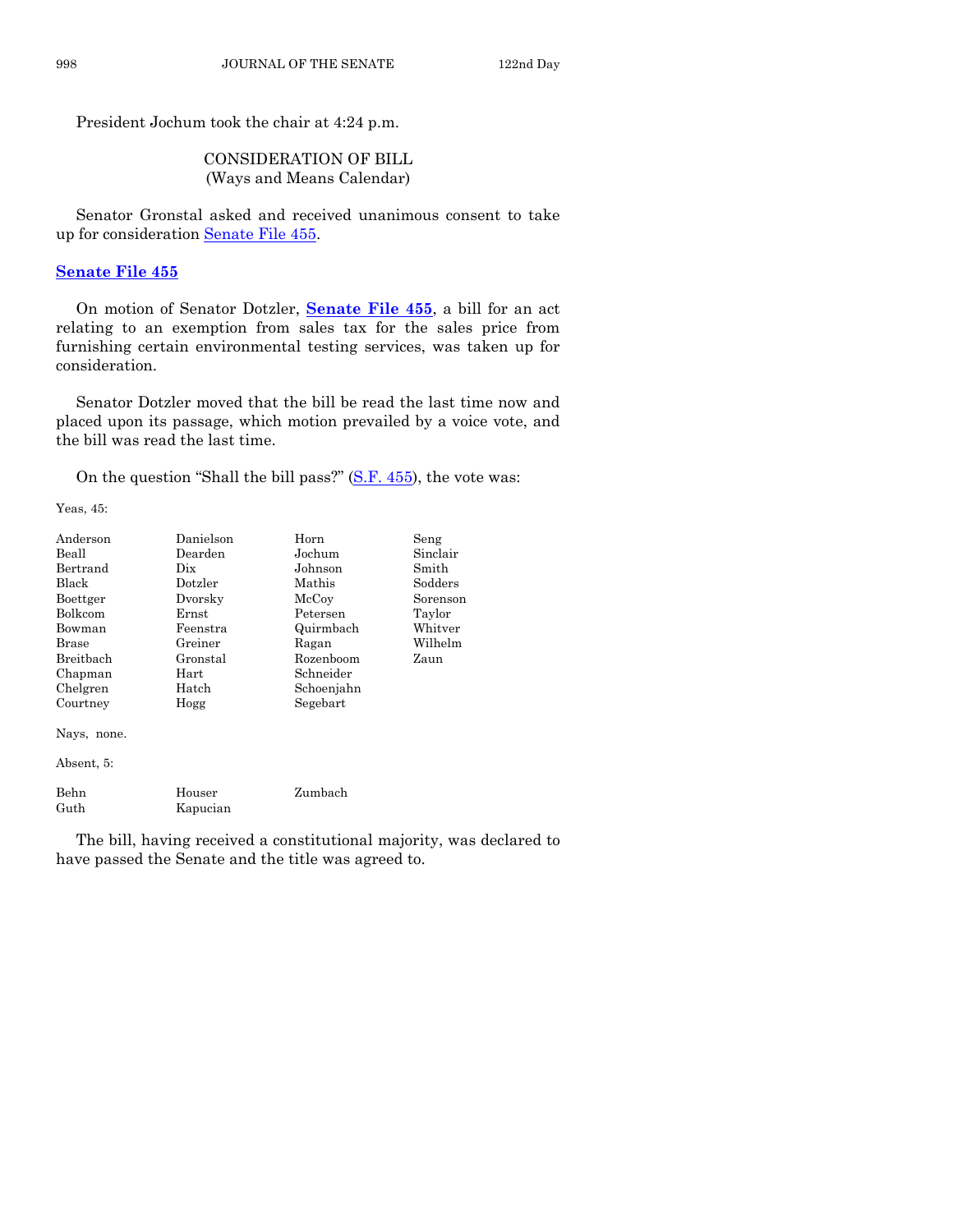President Jochum took the chair at 4:24 p.m.

#### CONSIDERATION OF BILL (Ways and Means Calendar)

Senator Gronstal asked and received unanimous consent to take up for consideration [Senate File 455.](http://coolice.legis.state.ia.us/Cool-ICE/default.asp?Category=billinfo&Service=Billbook&frame=1&GA=85&hbill=SF455)

#### **[Senate File 455](http://coolice.legis.state.ia.us/Cool-ICE/default.asp?Category=billinfo&Service=Billbook&frame=1&GA=85&hbill=SF455)**

On motion of Senator Dotzler, **[Senate File 455](http://coolice.legis.state.ia.us/Cool-ICE/default.asp?Category=billinfo&Service=Billbook&frame=1&GA=85&hbill=SF455)**, a bill for an act relating to an exemption from sales tax for the sales price from furnishing certain environmental testing services, was taken up for consideration.

Senator Dotzler moved that the bill be read the last time now and placed upon its passage, which motion prevailed by a voice vote, and the bill was read the last time.

On the question "Shall the bill pass?" [\(S.F. 455\)](http://coolice.legis.state.ia.us/Cool-ICE/default.asp?Category=billinfo&Service=Billbook&frame=1&GA=85&hbill=SF455), the vote was:

Yeas, 45:

| Anderson    | Danielson | Horn       | Seng     |
|-------------|-----------|------------|----------|
| Beall       | Dearden   | Jochum     | Sinclair |
| Bertrand    | Dix       | Johnson    | Smith    |
| Black       | Dotzler   | Mathis     | Sodders  |
| Boettger    | Dvorsky   | McCoy      | Sorenson |
| Bolkcom     | Ernst     | Petersen   | Taylor   |
| Bowman      | Feenstra  | Quirmbach  | Whitver  |
| Brase       | Greiner   | Ragan      | Wilhelm  |
| Breitbach   | Gronstal  | Rozenboom  | Zaun     |
| Chapman     | Hart      | Schneider  |          |
| Chelgren    | Hatch     | Schoenjahn |          |
| Courtney    | Hogg      | Segebart   |          |
| Nays, none. |           |            |          |
| Absent, 5:  |           |            |          |
| Behn        | Houser    | Zumbach    |          |
| Guth        | Kapucian  |            |          |

The bill, having received a constitutional majority, was declared to have passed the Senate and the title was agreed to.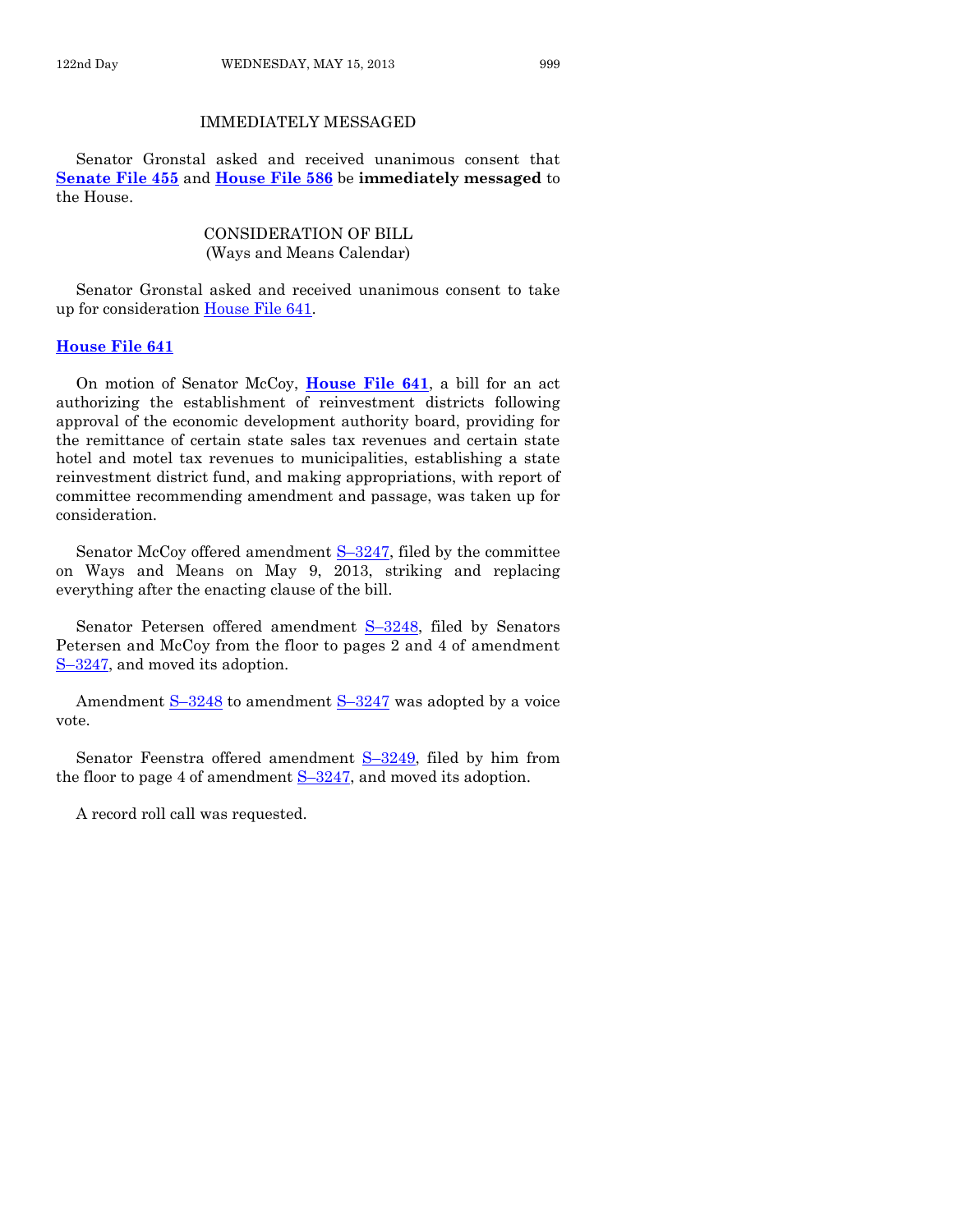#### IMMEDIATELY MESSAGED

Senator Gronstal asked and received unanimous consent that **[Senate File 455](http://coolice.legis.state.ia.us/Cool-ICE/default.asp?Category=billinfo&Service=Billbook&frame=1&GA=85&hbill=SF455)** and **[House File 586](http://coolice.legis.state.ia.us/Cool-ICE/default.asp?Category=billinfo&Service=Billbook&frame=1&GA=85&hbill=HF586)** be **immediately messaged** to the House.

#### CONSIDERATION OF BILL (Ways and Means Calendar)

Senator Gronstal asked and received unanimous consent to take up for consideration [House File 641.](http://coolice.legis.state.ia.us/Cool-ICE/default.asp?Category=billinfo&Service=Billbook&frame=1&GA=85&hbill=HF641)

#### **[House File 641](http://coolice.legis.state.ia.us/Cool-ICE/default.asp?Category=billinfo&Service=Billbook&frame=1&GA=85&hbill=HF641)**

On motion of Senator McCoy, **[House File 641](http://coolice.legis.state.ia.us/Cool-ICE/default.asp?Category=billinfo&Service=Billbook&frame=1&GA=85&hbill=HF641)**, a bill for an act authorizing the establishment of reinvestment districts following approval of the economic development authority board, providing for the remittance of certain state sales tax revenues and certain state hotel and motel tax revenues to municipalities, establishing a state reinvestment district fund, and making appropriations, with report of committee recommending amendment and passage, was taken up for consideration.

Senator McCoy offered amendment  $S-3247$ , filed by the committee on Ways and Means on May 9, 2013, striking and replacing everything after the enacting clause of the bill.

Senator Petersen offered amendment S–[3248,](http://coolice.legis.state.ia.us/Cool-ICE/default.asp?Category=billinfo&Service=Billbook&frame=1&GA=85&hbill=S3248) filed by Senators Petersen and McCoy from the floor to pages 2 and 4 of amendment S–[3247,](http://coolice.legis.state.ia.us/Cool-ICE/default.asp?Category=billinfo&Service=Billbook&frame=1&GA=85&hbill=S3247) and moved its adoption.

Amendment S-[3248](http://coolice.legis.state.ia.us/Cool-ICE/default.asp?Category=billinfo&Service=Billbook&frame=1&GA=85&hbill=S3248) to amendment S-[3247](http://coolice.legis.state.ia.us/Cool-ICE/default.asp?Category=billinfo&Service=Billbook&frame=1&GA=85&hbill=S3247) was adopted by a voice vote.

Senator Feenstra offered amendment S-[3249,](http://coolice.legis.state.ia.us/Cool-ICE/default.asp?Category=billinfo&Service=Billbook&frame=1&GA=85&hbill=S3249) filed by him from the floor to page 4 of amendment  $S-3247$ , and moved its adoption.

A record roll call was requested.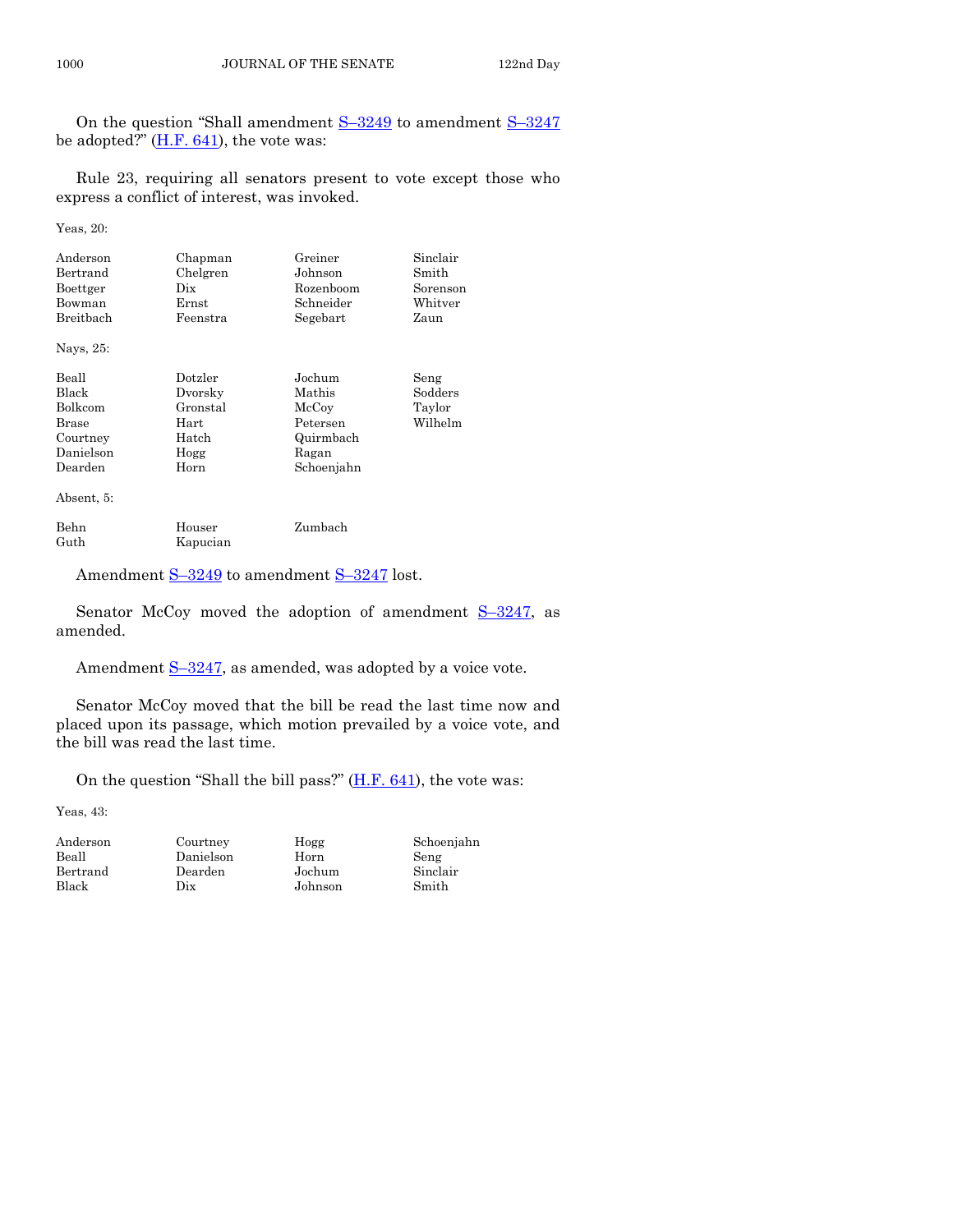On the question "Shall amendment S–[3249](http://coolice.legis.state.ia.us/Cool-ICE/default.asp?Category=billinfo&Service=Billbook&frame=1&GA=85&hbill=S3249) to amendment S–[3247](http://coolice.legis.state.ia.us/Cool-ICE/default.asp?Category=billinfo&Service=Billbook&frame=1&GA=85&hbill=S3247) be adopted?"  $(H.F. 641)$ , the vote was:

Rule 23, requiring all senators present to vote except those who express a conflict of interest, was invoked.

Yeas, 20:

| Anderson<br>Bertrand<br>Boettger<br>Bowman<br>Breitbach | Chapman<br>Chelgren<br>Dix<br>Ernst<br>Feenstra | Greiner<br>Johnson<br>Rozenboom<br>Schneider<br>Segebart | Sinclair<br>Smith<br>Sorenson<br>Whitver<br>Zaun |
|---------------------------------------------------------|-------------------------------------------------|----------------------------------------------------------|--------------------------------------------------|
| Nays, 25:                                               |                                                 |                                                          |                                                  |
| $\mathbf{r}$ $\mathbf{r}$                               | $\mathbf{r}$ , $\mathbf{r}$                     |                                                          | $\sim$                                           |

| Beall          | Dotzler  | Jochum     | Seng    |
|----------------|----------|------------|---------|
| Black          | Dvorsky  | Mathis     | Sodders |
| <b>Bolkcom</b> | Gronstal | McCoy      | Taylor  |
| Brase          | Hart     | Petersen   | Wilhelm |
| Courtney       | Hatch    | Quirmbach  |         |
| Danielson      | Hogg     | Ragan      |         |
| Dearden        | Horn     | Schoenjahn |         |
|                |          |            |         |

Absent, 5:

| Behn | Houser   | Zumbach |
|------|----------|---------|
| Guth | Kapucian |         |

Amendment S-[3249](http://coolice.legis.state.ia.us/Cool-ICE/default.asp?Category=billinfo&Service=Billbook&frame=1&GA=85&hbill=S3249) to amendment S-[3247](http://coolice.legis.state.ia.us/Cool-ICE/default.asp?Category=billinfo&Service=Billbook&frame=1&GA=85&hbill=S3247) lost.

Senator McCoy moved the adoption of amendment  $S-3247$ , as amended.

Amendment S-[3247,](http://coolice.legis.state.ia.us/Cool-ICE/default.asp?Category=billinfo&Service=Billbook&frame=1&GA=85&hbill=S3247) as amended, was adopted by a voice vote.

Senator McCoy moved that the bill be read the last time now and placed upon its passage, which motion prevailed by a voice vote, and the bill was read the last time.

On the question "Shall the bill pass?" [\(H.F. 641\)](http://coolice.legis.state.ia.us/Cool-ICE/default.asp?Category=billinfo&Service=Billbook&frame=1&GA=85&hbill=HF641), the vote was:

Yeas, 43:

Courtney Hogg Danielson Horn Dearden Jochum Dix Johnson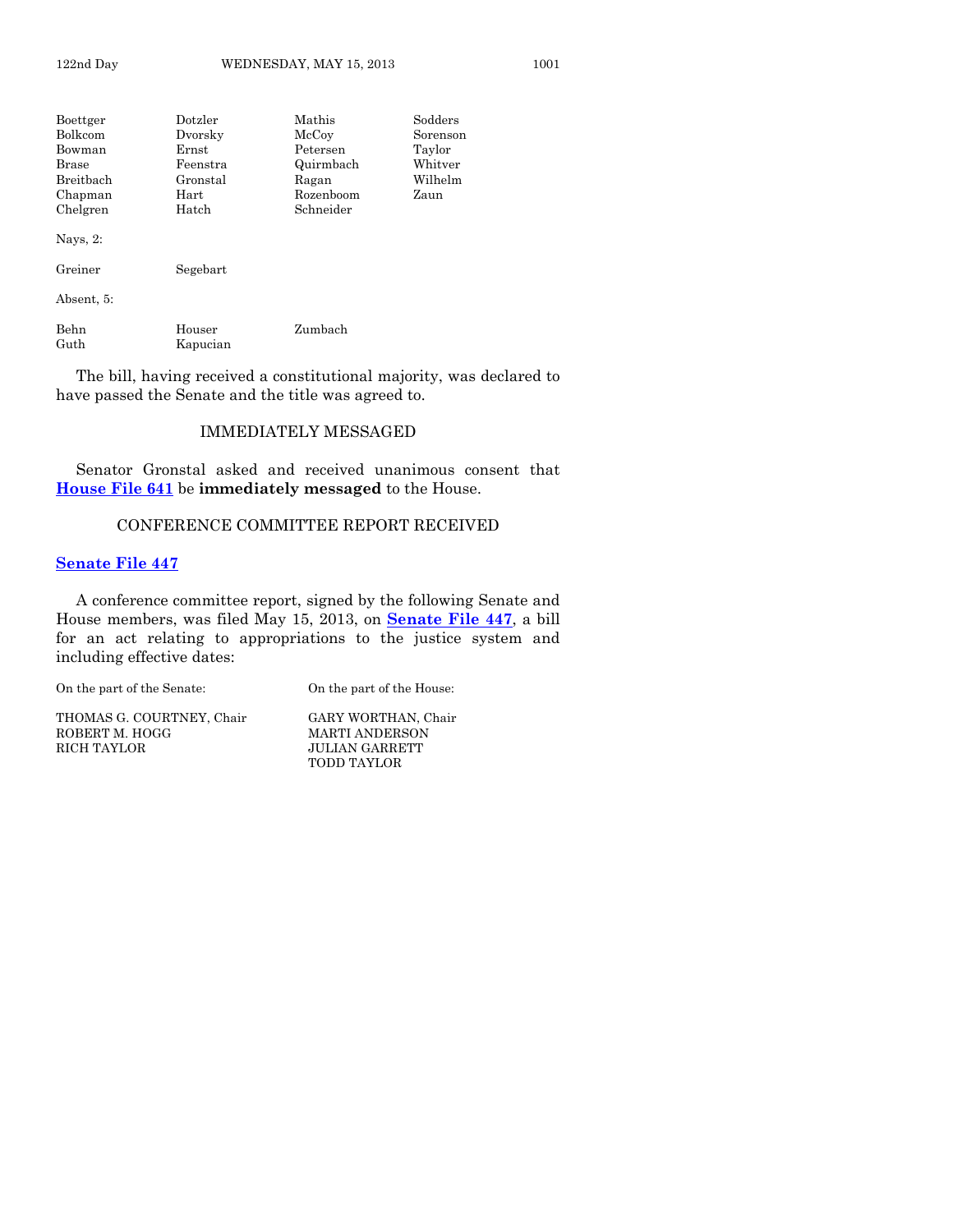| Boettger     | Dotzler    | Mathis    | Sodders  |
|--------------|------------|-----------|----------|
| Bolkcom      | Dvorsky    | McCoy     | Sorenson |
| Bowman       | Ernst      | Petersen  | Taylor   |
| <b>Brase</b> | Feenstra   | Quirmbach | Whitver  |
| Breitbach    | Gronstal   | Ragan     | Wilhelm  |
| Chapman      | $\rm Hart$ | Rozenboom | Zaun     |
| Chelgren     | Hatch      | Schneider |          |
| Nays, 2:     |            |           |          |
| Greiner      | Segebart   |           |          |
| Absent, 5:   |            |           |          |
| Behn         | Houser     | Zumbach   |          |
| Guth         | Kapucian   |           |          |

The bill, having received a constitutional majority, was declared to have passed the Senate and the title was agreed to.

#### IMMEDIATELY MESSAGED

Senator Gronstal asked and received unanimous consent that **[House File 641](http://coolice.legis.state.ia.us/Cool-ICE/default.asp?Category=billinfo&Service=Billbook&frame=1&GA=85&hbill=HF641)** be **immediately messaged** to the House.

#### CONFERENCE COMMITTEE REPORT RECEIVED

#### **[Senate File 447](http://coolice.legis.state.ia.us/Cool-ICE/default.asp?Category=billinfo&Service=Billbook&frame=1&GA=85&hbill=SF447)**

A conference committee report, signed by the following Senate and House members, was filed May 15, 2013, on **[Senate File 447](http://coolice.legis.state.ia.us/Cool-ICE/default.asp?Category=billinfo&Service=Billbook&frame=1&GA=85&hbill=SF447)**, a bill for an act relating to appropriations to the justice system and including effective dates:

On the part of the Senate: On the part of the House:

THOMAS G. COURTNEY, Chair GARY WORTHAN, Chair GOBERT M. HOGG MARTI ANDERSON ROBERT M. HOGG MARTI ANDERSON

**JULIAN GARRETT** TODD TAYLOR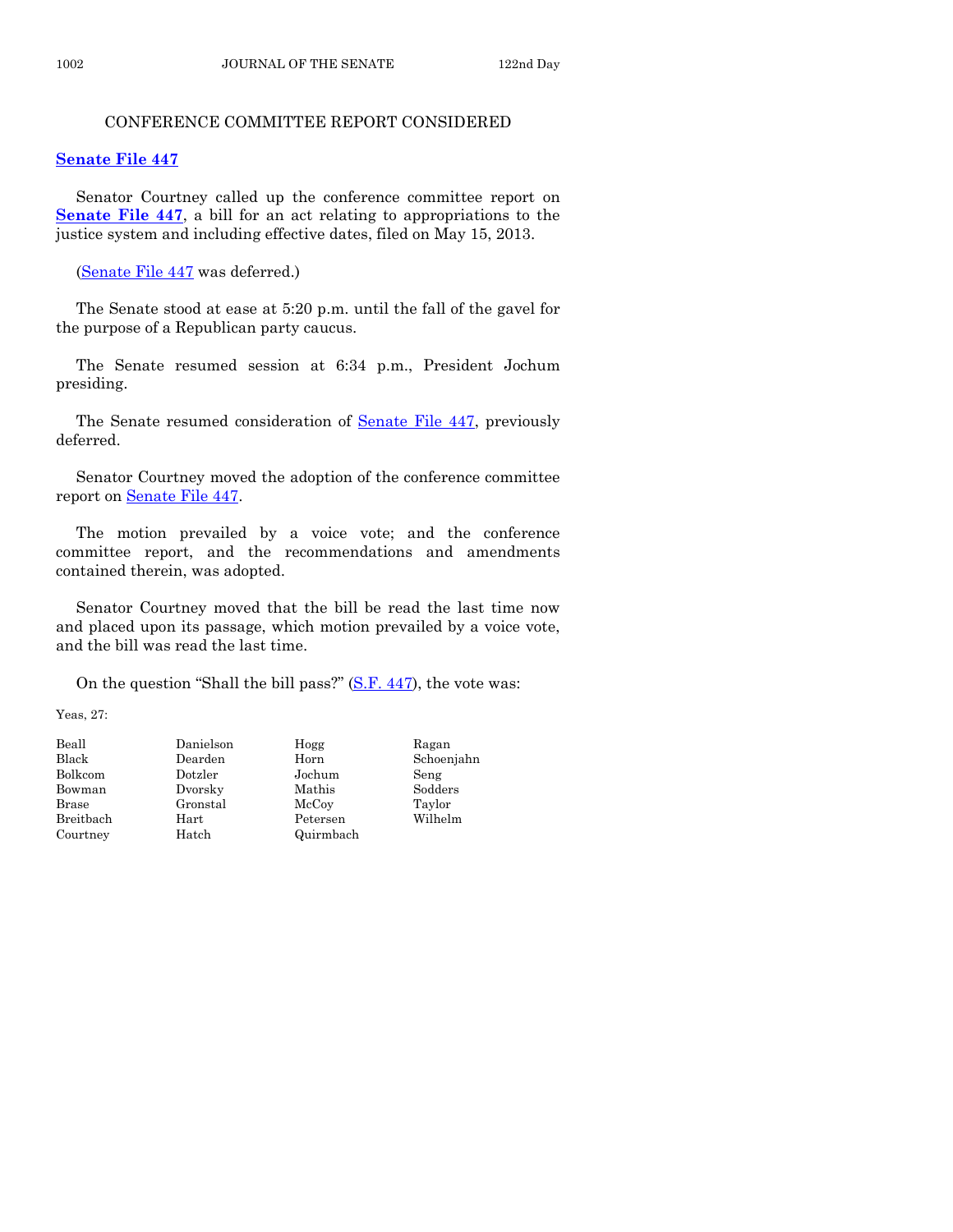# CONFERENCE COMMITTEE REPORT CONSIDERED

# **[Senate File 447](http://coolice.legis.state.ia.us/Cool-ICE/default.asp?Category=billinfo&Service=Billbook&frame=1&GA=85&hbill=SF447)**

Senator Courtney called up the conference committee report on **[Senate File 447](http://coolice.legis.state.ia.us/Cool-ICE/default.asp?Category=billinfo&Service=Billbook&frame=1&GA=85&hbill=SF447)**, a bill for an act relating to appropriations to the justice system and including effective dates, filed on May 15, 2013.

[\(Senate File 447](http://coolice.legis.state.ia.us/Cool-ICE/default.asp?Category=billinfo&Service=Billbook&frame=1&GA=85&hbill=SF447) was deferred.)

The Senate stood at ease at 5:20 p.m. until the fall of the gavel for the purpose of a Republican party caucus.

The Senate resumed session at 6:34 p.m., President Jochum presiding.

The Senate resumed consideration of [Senate File 447,](http://coolice.legis.state.ia.us/Cool-ICE/default.asp?Category=billinfo&Service=Billbook&frame=1&GA=85&hbill=SF447) previously deferred.

Senator Courtney moved the adoption of the conference committee report on [Senate File 447.](http://coolice.legis.state.ia.us/Cool-ICE/default.asp?Category=billinfo&Service=Billbook&frame=1&GA=85&hbill=SF447)

The motion prevailed by a voice vote; and the conference committee report, and the recommendations and amendments contained therein, was adopted.

Senator Courtney moved that the bill be read the last time now and placed upon its passage, which motion prevailed by a voice vote, and the bill was read the last time.

On the question "Shall the bill pass?" [\(S.F. 447\)](http://coolice.legis.state.ia.us/Cool-ICE/default.asp?Category=billinfo&Service=Billbook&frame=1&GA=85&hbill=SF447), the vote was:

Yeas, 27:

| Beall     |  |
|-----------|--|
| Black     |  |
| Bolkcom   |  |
| Bowman    |  |
| Brase     |  |
| Breithach |  |
| Courtney  |  |

Beall Danielson Hogg Ragan Black Dearden Horn Schoenjahn Dotzler Jochum Seng<br>Dvorsky Mathis Sodders Dvorsky Mathis Gronstal McCoy Taylor Hart Petersen Wilhelm Hatch Quirmbach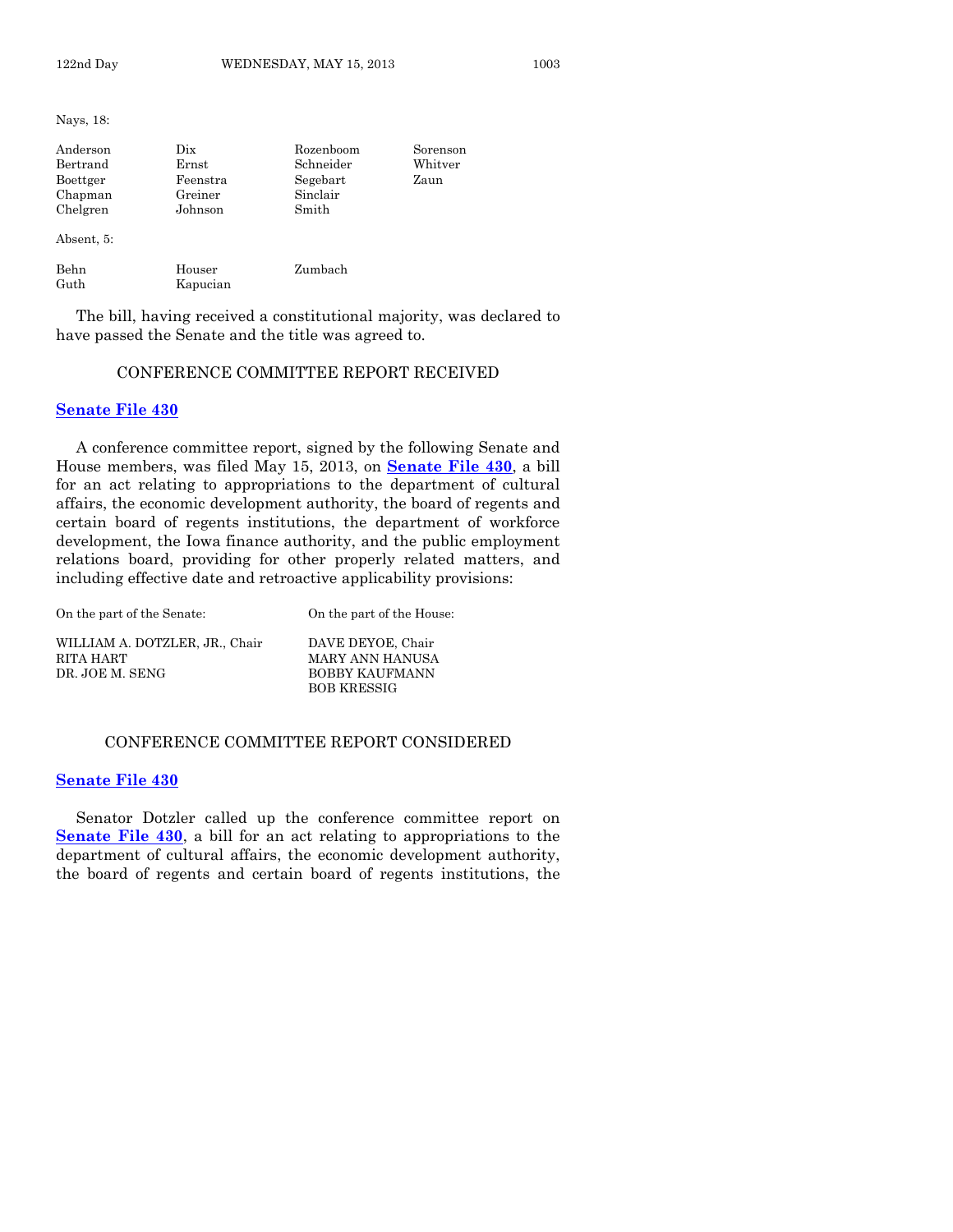Nays, 18:

| Anderson<br>Bertrand<br>Boettger<br>Chapman<br>Chelgren<br>Absent, 5: | Dix<br>Ernst<br>Feenstra<br>Greiner<br>Johnson | Rozenboom<br>Schneider<br>Segebart<br>Sinclair<br>Smith | Sorenson<br>$\rm Whitter$<br>Zaun |
|-----------------------------------------------------------------------|------------------------------------------------|---------------------------------------------------------|-----------------------------------|
| Behn<br>Guth                                                          | Houser<br>Kapucian                             | Zumbach                                                 |                                   |

The bill, having received a constitutional majority, was declared to have passed the Senate and the title was agreed to.

#### CONFERENCE COMMITTEE REPORT RECEIVED

#### **[Senate File 430](http://coolice.legis.state.ia.us/Cool-ICE/default.asp?Category=billinfo&Service=Billbook&frame=1&GA=85&hbill=SF430)**

A conference committee report, signed by the following Senate and House members, was filed May 15, 2013, on **[Senate File 430](http://coolice.legis.state.ia.us/Cool-ICE/default.asp?Category=billinfo&Service=Billbook&frame=1&GA=85&hbill=SF430)**, a bill for an act relating to appropriations to the department of cultural affairs, the economic development authority, the board of regents and certain board of regents institutions, the department of workforce development, the Iowa finance authority, and the public employment relations board, providing for other properly related matters, and including effective date and retroactive applicability provisions:

| On the part of the Senate:                                     | On the part of the House:                              |
|----------------------------------------------------------------|--------------------------------------------------------|
| WILLIAM A. DOTZLER, JR., Chair<br>RITA HART<br>DR. JOE M. SENG | DAVE DEYOE, Chair<br>MARY ANN HANUSA<br>BOBBY KAUFMANN |
|                                                                | <b>BOB KRESSIG</b>                                     |

#### CONFERENCE COMMITTEE REPORT CONSIDERED

#### **[Senate File 430](http://coolice.legis.state.ia.us/Cool-ICE/default.asp?Category=billinfo&Service=Billbook&frame=1&GA=85&hbill=SF430)**

Senator Dotzler called up the conference committee report on **[Senate File 430](http://coolice.legis.state.ia.us/Cool-ICE/default.asp?Category=billinfo&Service=Billbook&frame=1&GA=85&hbill=SF430)**, a bill for an act relating to appropriations to the department of cultural affairs, the economic development authority, the board of regents and certain board of regents institutions, the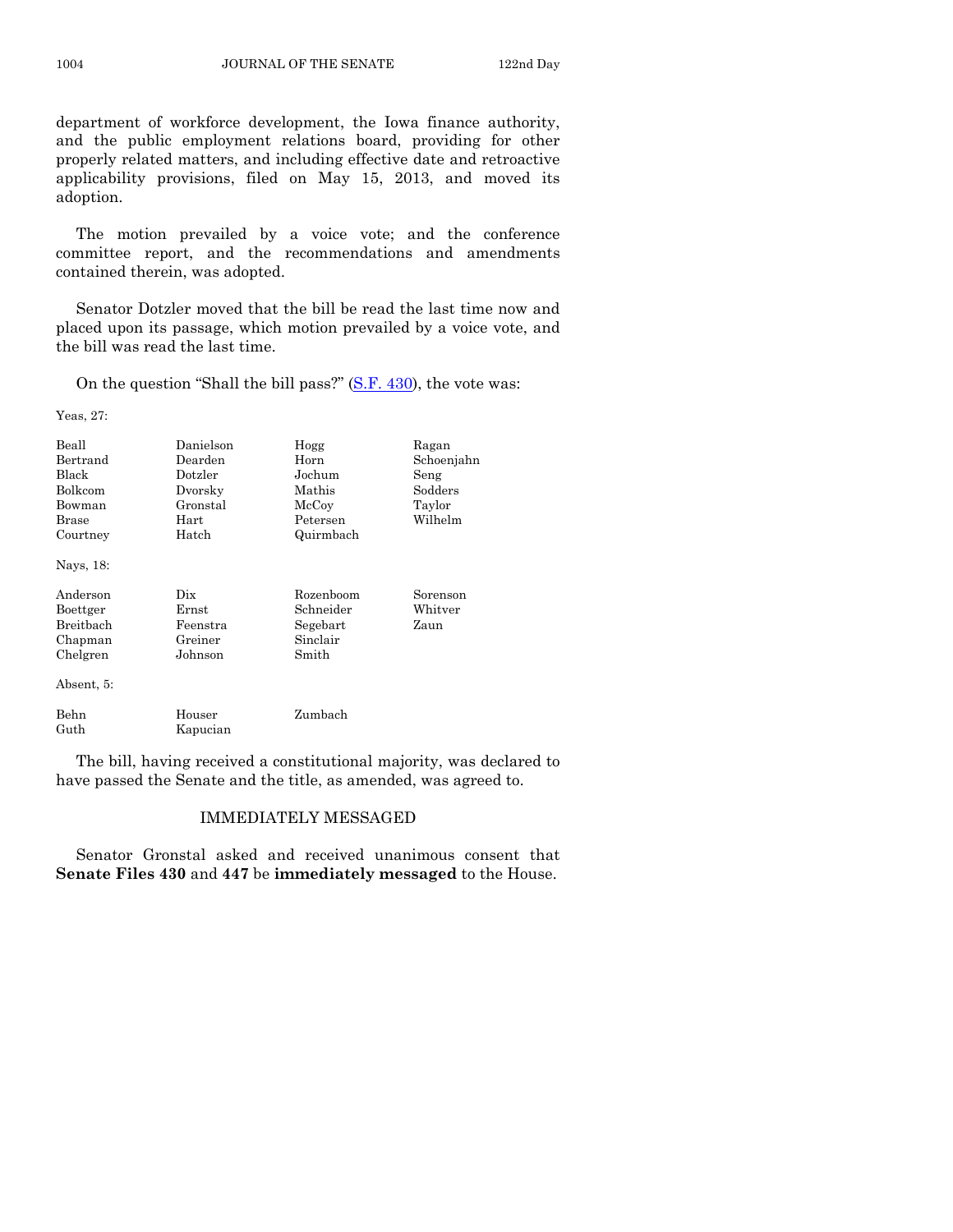department of workforce development, the Iowa finance authority, and the public employment relations board, providing for other properly related matters, and including effective date and retroactive applicability provisions, filed on May 15, 2013, and moved its adoption.

The motion prevailed by a voice vote; and the conference committee report, and the recommendations and amendments contained therein, was adopted.

Senator Dotzler moved that the bill be read the last time now and placed upon its passage, which motion prevailed by a voice vote, and the bill was read the last time.

On the question "Shall the bill pass?" [\(S.F. 430\)](http://coolice.legis.state.ia.us/Cool-ICE/default.asp?Category=billinfo&Service=Billbook&frame=1&GA=85&hbill=SF430), the vote was:

Yeas, 27:

| Beall<br>Bertrand<br>Black<br>Bolkcom<br>Bowman<br>Brase<br>Courtney<br>Nays, 18: | Danielson<br>Dearden<br>Dotzler<br>Dvorsky<br>Gronstal<br>Hart<br>Hatch | Hogg<br>Horn<br>Jochum<br>Mathis<br>McCoy<br>Petersen<br>Quirmbach | Ragan<br>Schoenjahn<br>Seng<br>Sodders<br>Taylor<br>Wilhelm |
|-----------------------------------------------------------------------------------|-------------------------------------------------------------------------|--------------------------------------------------------------------|-------------------------------------------------------------|
| Anderson<br>Boettger<br>Breitbach<br>Chapman<br>Chelgren<br>Absent, 5:            | Dix<br>Ernst<br>Feenstra<br>Greiner<br>Johnson                          | Rozenboom<br>Schneider<br>Segebart<br>Sinclair<br>Smith            | Sorenson<br>Whitver<br>Zaun                                 |
| Behn<br>Guth                                                                      | Houser<br>Kapucian                                                      | Zumbach                                                            |                                                             |

The bill, having received a constitutional majority, was declared to have passed the Senate and the title, as amended, was agreed to.

#### IMMEDIATELY MESSAGED

Senator Gronstal asked and received unanimous consent that **Senate Files 430** and **447** be **immediately messaged** to the House.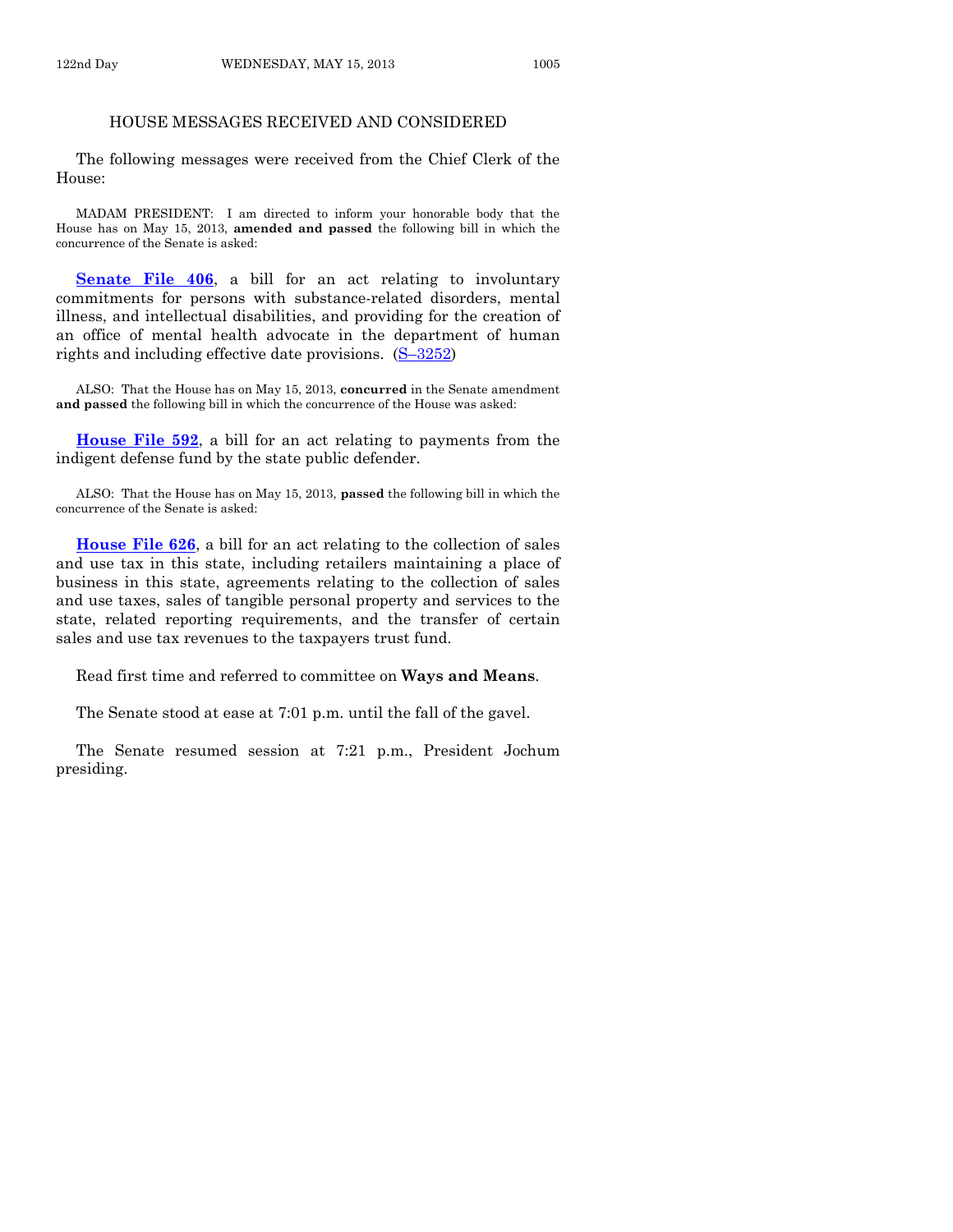#### HOUSE MESSAGES RECEIVED AND CONSIDERED

The following messages were received from the Chief Clerk of the House:

MADAM PRESIDENT: I am directed to inform your honorable body that the House has on May 15, 2013, **amended and passed** the following bill in which the concurrence of the Senate is asked:

**[Senate File 406](http://coolice.legis.state.ia.us/Cool-ICE/default.asp?Category=billinfo&Service=Billbook&frame=1&GA=85&hbill=SF406)**, a bill for an act relating to involuntary commitments for persons with substance-related disorders, mental illness, and intellectual disabilities, and providing for the creation of an office of mental health advocate in the department of human rights and including effective date provisions. (S–[3252\)](http://coolice.legis.state.ia.us/Cool-ICE/default.asp?Category=billinfo&Service=Billbook&frame=1&GA=85&hbill=S3252)

ALSO: That the House has on May 15, 2013, **concurred** in the Senate amendment **and passed** the following bill in which the concurrence of the House was asked:

**[House File 592](http://coolice.legis.state.ia.us/Cool-ICE/default.asp?Category=billinfo&Service=Billbook&frame=1&GA=85&hbill=HF592)**, a bill for an act relating to payments from the indigent defense fund by the state public defender.

ALSO: That the House has on May 15, 2013, **passed** the following bill in which the concurrence of the Senate is asked:

**[House File 626](http://coolice.legis.state.ia.us/Cool-ICE/default.asp?Category=billinfo&Service=Billbook&frame=1&GA=85&hbill=HF626)**, a bill for an act relating to the collection of sales and use tax in this state, including retailers maintaining a place of business in this state, agreements relating to the collection of sales and use taxes, sales of tangible personal property and services to the state, related reporting requirements, and the transfer of certain sales and use tax revenues to the taxpayers trust fund.

Read first time and referred to committee on **Ways and Means**.

The Senate stood at ease at 7:01 p.m. until the fall of the gavel.

The Senate resumed session at 7:21 p.m., President Jochum presiding.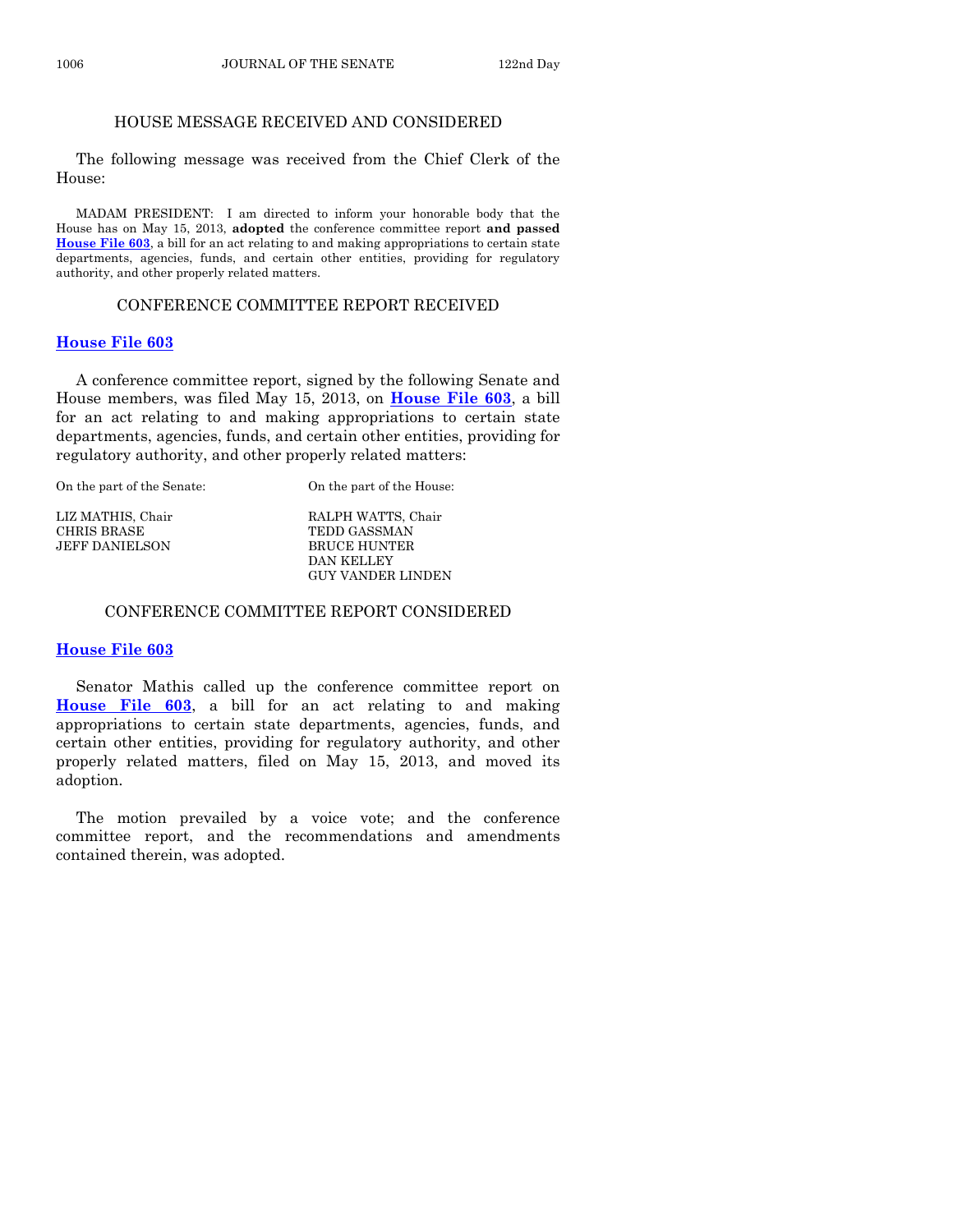#### HOUSE MESSAGE RECEIVED AND CONSIDERED

The following message was received from the Chief Clerk of the House:

MADAM PRESIDENT: I am directed to inform your honorable body that the House has on May 15, 2013, **adopted** the conference committee report **and passed [House File 603](http://coolice.legis.state.ia.us/Cool-ICE/default.asp?Category=billinfo&Service=Billbook&frame=1&GA=85&hbill=HF603)**, a bill for an act relating to and making appropriations to certain state departments, agencies, funds, and certain other entities, providing for regulatory authority, and other properly related matters.

# CONFERENCE COMMITTEE REPORT RECEIVED

# **[House File 603](http://coolice.legis.state.ia.us/Cool-ICE/default.asp?Category=billinfo&Service=Billbook&frame=1&GA=85&hbill=HF603)**

A conference committee report, signed by the following Senate and House members, was filed May 15, 2013, on **[House File 603](http://coolice.legis.state.ia.us/Cool-ICE/default.asp?Category=billinfo&Service=Billbook&frame=1&GA=85&hbill=HF603)**, a bill for an act relating to and making appropriations to certain state departments, agencies, funds, and certain other entities, providing for regulatory authority, and other properly related matters:

| On the part of the Senate: | On the part of the House: |
|----------------------------|---------------------------|
| LIZ MATHIS, Chair          | RALPH WATTS, Chair        |
| <b>CHRIS BRASE</b>         | <b>TEDD GASSMAN</b>       |
| <b>JEFF DANIELSON</b>      | <b>BRUCE HUNTER</b>       |
|                            | DAN KELLEY                |
|                            | GUY VANDER LINDEN         |

### CONFERENCE COMMITTEE REPORT CONSIDERED

## **[House File 603](http://coolice.legis.state.ia.us/Cool-ICE/default.asp?Category=billinfo&Service=Billbook&frame=1&GA=85&hbill=HF603)**

Senator Mathis called up the conference committee report on **[House File 603](http://coolice.legis.state.ia.us/Cool-ICE/default.asp?Category=billinfo&Service=Billbook&frame=1&GA=85&hbill=HF603)**, a bill for an act relating to and making appropriations to certain state departments, agencies, funds, and certain other entities, providing for regulatory authority, and other properly related matters, filed on May 15, 2013, and moved its adoption.

The motion prevailed by a voice vote; and the conference committee report, and the recommendations and amendments contained therein, was adopted.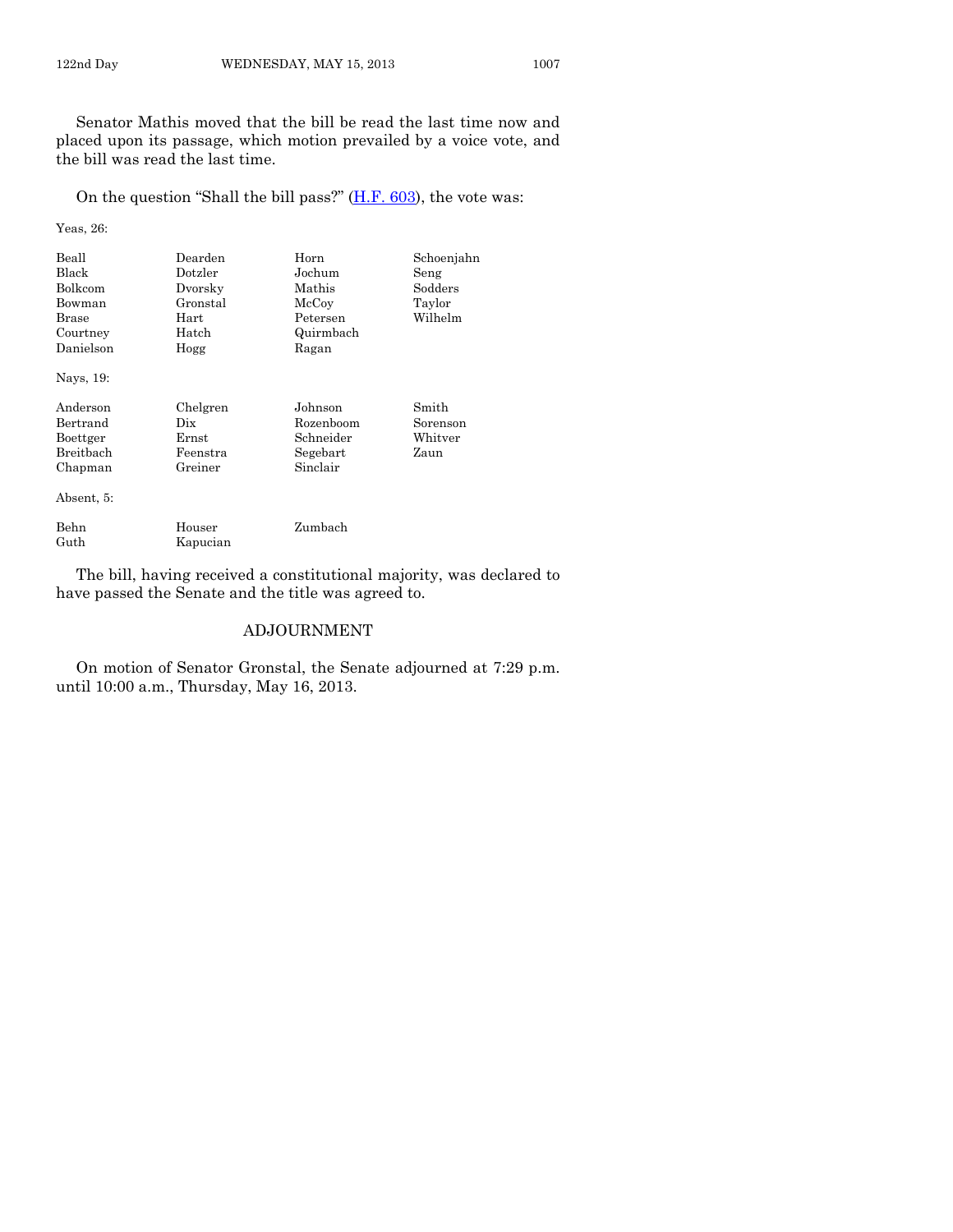Senator Mathis moved that the bill be read the last time now and placed upon its passage, which motion prevailed by a voice vote, and the bill was read the last time.

On the question "Shall the bill pass?"  $(H.F. 603)$ , the vote was:

Yeas, 26:

Guth Kapucian

| Beall<br>Black<br>Bolkcom<br>Bowman<br>Brase<br>Courtney<br>Danielson<br>Nays, 19: | Dearden<br>Dotzler<br>Dvorsky<br>Gronstal<br>Hart<br>Hatch<br>Hogg | Horn<br>Jochum<br>Mathis<br>McCoy<br>Petersen<br>Quirmbach<br>Ragan | Schoenjahn<br>Seng<br>Sodders<br>Taylor<br>Wilhelm |
|------------------------------------------------------------------------------------|--------------------------------------------------------------------|---------------------------------------------------------------------|----------------------------------------------------|
| Anderson<br>Bertrand<br>Boettger<br><b>Breithach</b><br>Chapman<br>Absent, 5:      | Chelgren<br>Dix<br>Ernst<br>Feenstra<br>Greiner                    | Johnson<br>Rozenboom<br>Schneider<br>Segebart<br>Sinclair           | Smith<br>Sorenson<br>Whitver<br>Zaun               |
| Behn                                                                               | Houser                                                             | Zumbach                                                             |                                                    |

The bill, having received a constitutional majority, was declared to have passed the Senate and the title was agreed to.

#### ADJOURNMENT

On motion of Senator Gronstal, the Senate adjourned at 7:29 p.m. until 10:00 a.m., Thursday, May 16, 2013.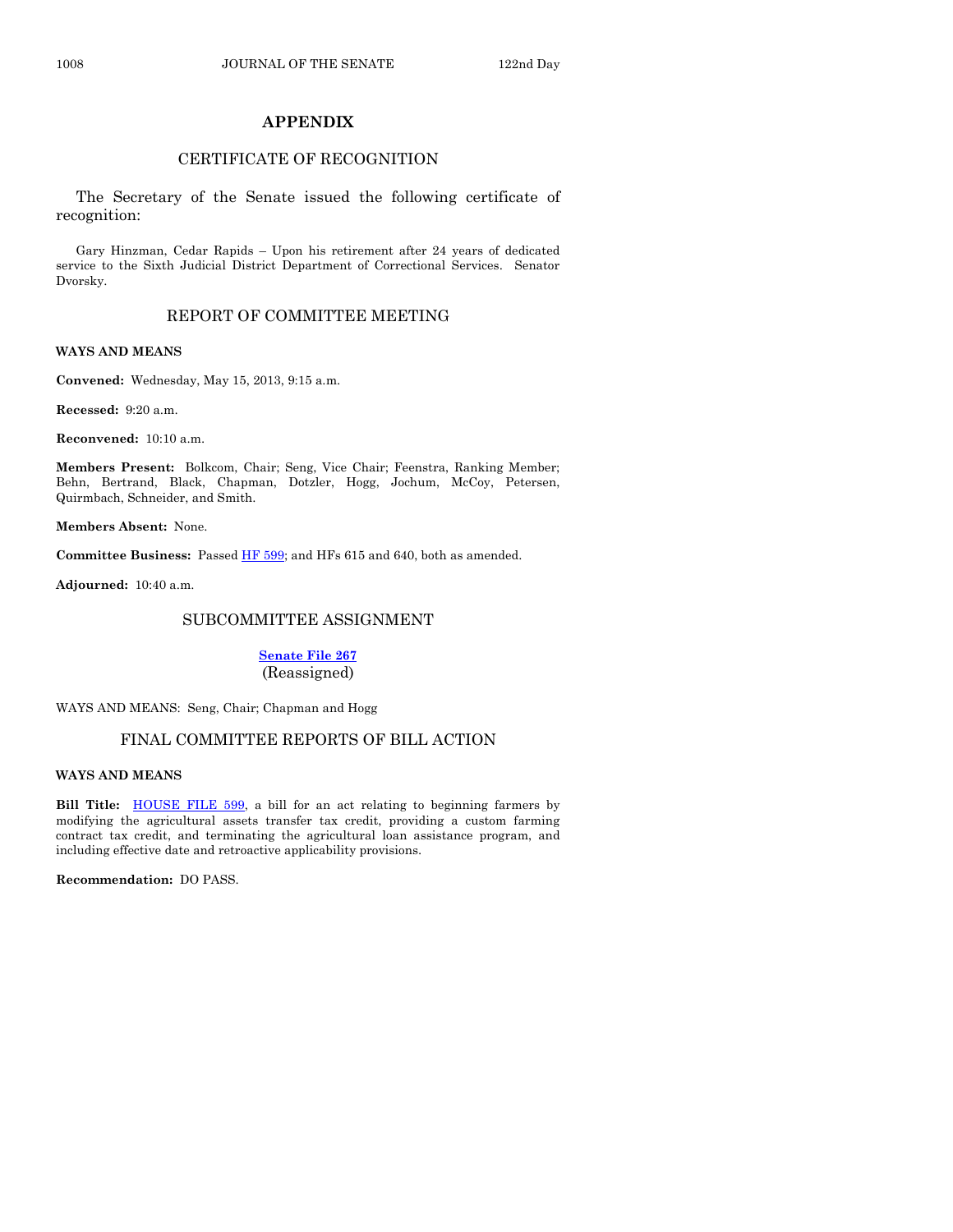#### **APPENDIX**

#### CERTIFICATE OF RECOGNITION

The Secretary of the Senate issued the following certificate of recognition:

Gary Hinzman, Cedar Rapids – Upon his retirement after 24 years of dedicated service to the Sixth Judicial District Department of Correctional Services. Senator Dvorsky.

#### REPORT OF COMMITTEE MEETING

#### **WAYS AND MEANS**

**Convened:** Wednesday, May 15, 2013, 9:15 a.m.

**Recessed:** 9:20 a.m.

**Reconvened:** 10:10 a.m.

**Members Present:** Bolkcom, Chair; Seng, Vice Chair; Feenstra, Ranking Member; Behn, Bertrand, Black, Chapman, Dotzler, Hogg, Jochum, McCoy, Petersen, Quirmbach, Schneider, and Smith.

**Members Absent:** None.

**Committee Business:** Passed [HF 599;](http://coolice.legis.state.ia.us/Cool-ICE/default.asp?Category=billinfo&Service=Billbook&frame=1&GA=85&hbill=HF599) and HFs 615 and 640, both as amended.

**Adjourned:** 10:40 a.m.

#### SUBCOMMITTEE ASSIGNMENT

**[Senate File 267](http://coolice.legis.state.ia.us/Cool-ICE/default.asp?Category=billinfo&Service=Billbook&frame=1&GA=85&hbill=SF267)** (Reassigned)

WAYS AND MEANS: Seng, Chair; Chapman and Hogg

#### FINAL COMMITTEE REPORTS OF BILL ACTION

#### **WAYS AND MEANS**

Bill Title: **HOUSE FILE 599**, a bill for an act relating to beginning farmers by modifying the agricultural assets transfer tax credit, providing a custom farming contract tax credit, and terminating the agricultural loan assistance program, and including effective date and retroactive applicability provisions.

**Recommendation:** DO PASS.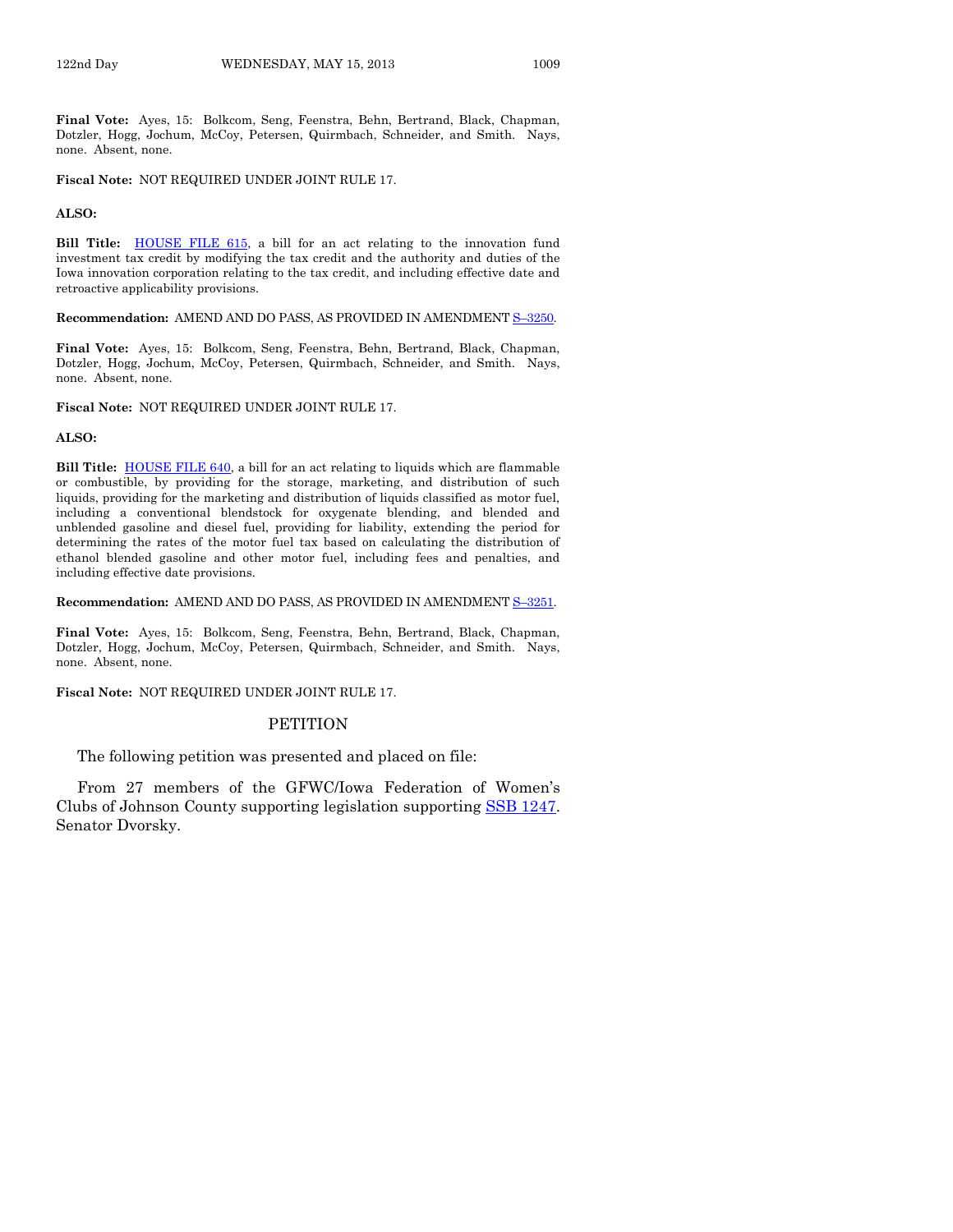**Final Vote:** Ayes, 15: Bolkcom, Seng, Feenstra, Behn, Bertrand, Black, Chapman, Dotzler, Hogg, Jochum, McCoy, Petersen, Quirmbach, Schneider, and Smith. Nays, none. Absent, none.

**Fiscal Note:** NOT REQUIRED UNDER JOINT RULE 17.

#### **ALSO:**

**Bill Title:** [HOUSE FILE 615,](http://coolice.legis.state.ia.us/Cool-ICE/default.asp?Category=billinfo&Service=Billbook&frame=1&GA=85&hbill=HF615) a bill for an act relating to the innovation fund investment tax credit by modifying the tax credit and the authority and duties of the Iowa innovation corporation relating to the tax credit, and including effective date and retroactive applicability provisions.

#### **Recommendation:** AMEND AND DO PASS, AS PROVIDED IN AMENDMENT S–[3250.](http://coolice.legis.state.ia.us/Cool-ICE/default.asp?Category=billinfo&Service=Billbook&frame=1&GA=85&hbill=S3250)

**Final Vote:** Ayes, 15: Bolkcom, Seng, Feenstra, Behn, Bertrand, Black, Chapman, Dotzler, Hogg, Jochum, McCoy, Petersen, Quirmbach, Schneider, and Smith. Nays, none. Absent, none.

**Fiscal Note:** NOT REQUIRED UNDER JOINT RULE 17.

#### **ALSO:**

**Bill Title:** [HOUSE FILE 640,](http://coolice.legis.state.ia.us/Cool-ICE/default.asp?Category=billinfo&Service=Billbook&frame=1&GA=85&hbill=HF640) a bill for an act relating to liquids which are flammable or combustible, by providing for the storage, marketing, and distribution of such liquids, providing for the marketing and distribution of liquids classified as motor fuel, including a conventional blendstock for oxygenate blending, and blended and unblended gasoline and diesel fuel, providing for liability, extending the period for determining the rates of the motor fuel tax based on calculating the distribution of ethanol blended gasoline and other motor fuel, including fees and penalties, and including effective date provisions.

#### **Recommendation:** AMEND AND DO PASS, AS PROVIDED IN AMENDMENT S–[3251.](http://coolice.legis.state.ia.us/Cool-ICE/default.asp?Category=billinfo&Service=Billbook&frame=1&GA=85&hbill=S3251)

**Final Vote:** Ayes, 15: Bolkcom, Seng, Feenstra, Behn, Bertrand, Black, Chapman, Dotzler, Hogg, Jochum, McCoy, Petersen, Quirmbach, Schneider, and Smith. Nays, none. Absent, none.

**Fiscal Note:** NOT REQUIRED UNDER JOINT RULE 17.

#### **PETITION**

The following petition was presented and placed on file:

From 27 members of the GFWC/Iowa Federation of Women's Clubs of Johnson County supporting legislation supporting [SSB 1247.](http://coolice.legis.state.ia.us/Cool-ICE/default.asp?Category=billinfo&Service=Billbook&frame=1&GA=85&hbill=SSB1247) Senator Dvorsky.